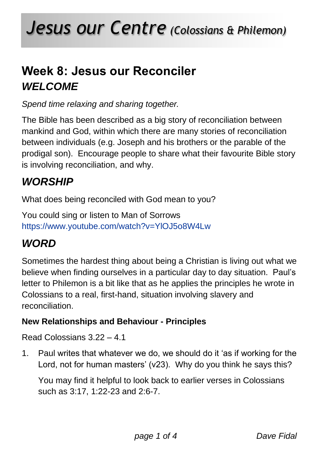# **Week 8: Jesus our Reconciler** *WELCOME*

*Spend time relaxing and sharing together.*

The Bible has been described as a big story of reconciliation between mankind and God, within which there are many stories of reconciliation between individuals (e.g. Joseph and his brothers or the parable of the prodigal son). Encourage people to share what their favourite Bible story is involving reconciliation, and why.

## *WORSHIP*

What does being reconciled with God mean to you?

You could sing or listen to Man of Sorrows <https://www.youtube.com/watch?v=YlOJ5o8W4Lw>

## *WORD*

Sometimes the hardest thing about being a Christian is living out what we believe when finding ourselves in a particular day to day situation. Paul's letter to Philemon is a bit like that as he applies the principles he wrote in Colossians to a real, first-hand, situation involving slavery and reconciliation.

### **New Relationships and Behaviour - Principles**

Read Colossians 3.22 – 4.1

1. Paul writes that whatever we do, we should do it 'as if working for the Lord, not for human masters' (v23). Why do you think he says this?

You may find it helpful to look back to earlier verses in Colossians such as 3:17, 1:22-23 and 2:6-7.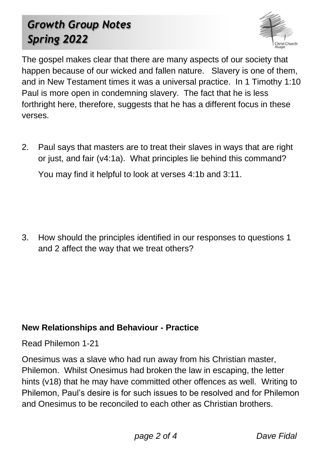# *Growth Group Notes Spring 2022*



The gospel makes clear that there are many aspects of our society that happen because of our wicked and fallen nature. Slavery is one of them, and in New Testament times it was a universal practice. In 1 Timothy 1:10 Paul is more open in condemning slavery. The fact that he is less forthright here, therefore, suggests that he has a different focus in these verses.

2. Paul says that masters are to treat their slaves in ways that are right or just, and fair (v4:1a). What principles lie behind this command? You may find it helpful to look at verses 4:1b and 3:11.

3. How should the principles identified in our responses to questions 1 and 2 affect the way that we treat others?

### **New Relationships and Behaviour - Practice**

Read Philemon 1-21

Onesimus was a slave who had run away from his Christian master, Philemon. Whilst Onesimus had broken the law in escaping, the letter hints (v18) that he may have committed other offences as well. Writing to Philemon, Paul's desire is for such issues to be resolved and for Philemon and Onesimus to be reconciled to each other as Christian brothers.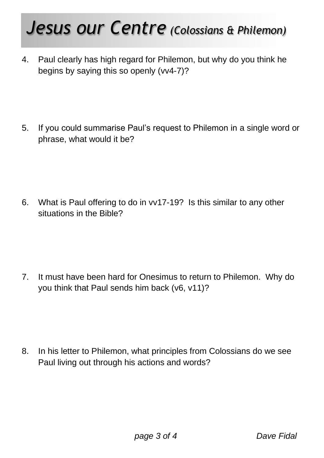# *Jesus our Centre (Colossians & Philemon)*

4. Paul clearly has high regard for Philemon, but why do you think he begins by saying this so openly (vv4-7)?

5. If you could summarise Paul's request to Philemon in a single word or phrase, what would it be?

6. What is Paul offering to do in vv17-19? Is this similar to any other situations in the Bible?

7. It must have been hard for Onesimus to return to Philemon. Why do you think that Paul sends him back (v6, v11)?

8. In his letter to Philemon, what principles from Colossians do we see Paul living out through his actions and words?